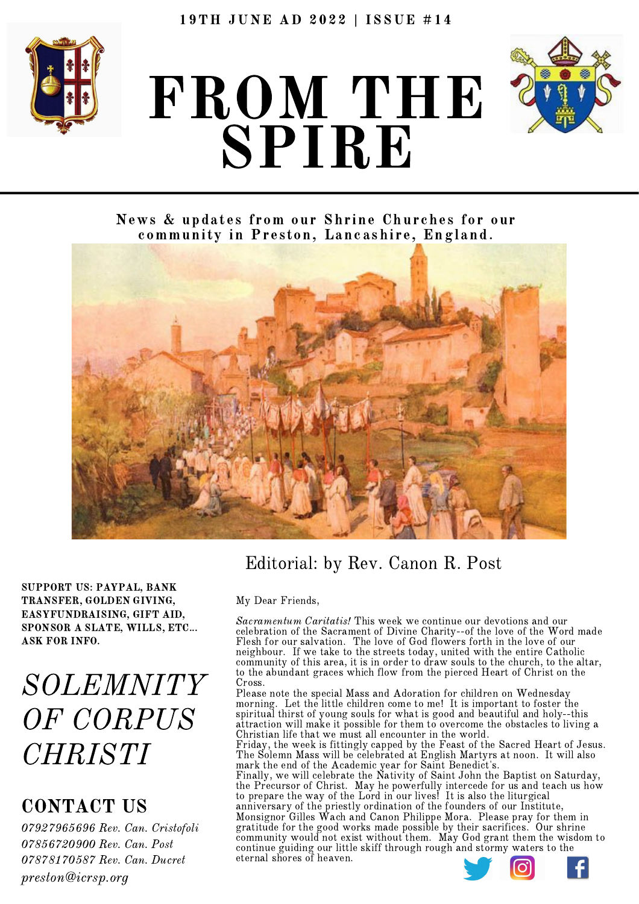

# FROM THE SPIRE



News & updates from our Shrine Churches for our community in Preston, Lancashire, England.



SUPPORT US: PAYPAL, BANK TRANSFER, GOLDEN GIVING, EASYFUNDRAISING, GIFT AID, SPONSOR A SLATE, WILLS, ETC... ASK FOR INFO.

SOLEMNITY OF CORPUS **CHRISTI** 

### CONTACT US

 Rev. Can. Cristofoli Rev. Can. Post Rev. Can. Ducret preston@icrsp.org

### Editorial: by Rev. Canon R. Post

#### My Dear Friends,

Sacramentum Caritatis! This week we continue our devotions and our celebration of the Sacrament of Divine Charity--of the love of the Word made Flesh for our salvation. The love of God flowers forth in the love of our neighbour. If we take to the streets today, united with the entire Catholic community of this area, it is in order to draw souls to the church, to the altar, to the abundant graces which flow from the pierced Heart of Christ on the Cross.

Please note the special Mass and Adoration for children on Wednesday morning. Let the little children come to me! It is important to foster the spiritual thirst of young souls for what is good and beautiful and holy--this attraction will make it possible for them to overcome the obstacles to living a Christian life that we must all encounter in the world.

Friday, the week is fittingly capped by the Feast of the Sacred Heart of Jesus. The Solemn Mass will be celebrated at English Martyrs at noon. It will also mark the end of the Academic year for Saint Benedict's.

eternai Finally, we will celebrate the Nativity of Saint John the Baptist on Saturday, the Precursor of Christ. May he powerfully intercede for us and teach us how to prepare the way of the Lord in our lives! It is also the liturgical anniversary of the priestly ordination of the founders of our Institute, Monsignor Gilles Wach and Canon Philippe Mora. Please pray for them in gratitude for the good works made possible by their sacrifices. Our shrine community would not exist without them. May God grant them the wisdom to continue guiding our little skiff through rough and stormy waters to the eternal shores of heaven.

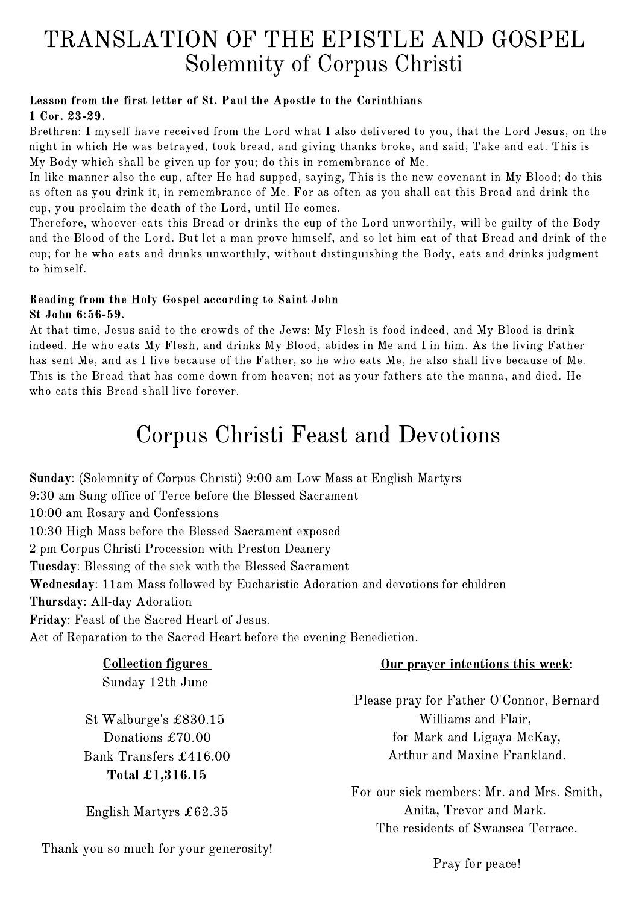### TRANSLATION OF THE EPISTLE AND GOSPEL Solemnity of Corpus Christi

#### Lesson from the first letter of St. Paul the Apostle to the Corinthians 1 Cor. 23-29.

Brethren: I myself have received from the Lord what I also delivered to you, that the Lord Jesus, on the night in which He was betrayed, took bread, and giving thanks broke, and said, Take and eat. This is My Body which shall be given up for you; do this in remembrance of Me.

In like manner also the cup, after He had supped, saying, This is the new covenant in My Blood; do this as often as you drink it, in remembrance of Me. For as often as you shall eat this Bread and drink the cup, you proclaim the death of the Lord, until He comes.

Therefore, whoever eats this Bread or drinks the cup of the Lord unworthily, will be guilty of the Body and the Blood of the Lord. But let a man prove himself, and so let him eat of that Bread and drink of the cup; for he who eats and drinks unworthily, without distinguishing the Body, eats and drinks judgment to himself.

#### Reading from the Holy Gospel according to Saint John St John 6:56-59.

At that time, Jesus said to the crowds of the Jews: My Flesh is food indeed, and My Blood is drink indeed. He who eats My Flesh, and drinks My Blood, abides in Me and I in him. As the living Father has sent Me, and as I live because of the Father, so he who eats Me, he also shall live because of Me. This is the Bread that has come down from heaven; not as your fathers ate the manna, and died. He who eats this Bread shall live forever.

### Corpus Christi Feast and Devotions

Sunday: (Solemnity of Corpus Christi) 9:00 am Low Mass at English Martyrs 9:30 am Sung office of Terce before the Blessed Sacrament 10:00 am Rosary and Confessions 10:30 High Mass before the Blessed Sacrament exposed 2 pm Corpus Christi Procession with Preston Deanery Tuesday: Blessing of the sick with the Blessed Sacrament Wednesday: 11am Mass followed by Eucharistic Adoration and devotions for children Thursday: All-day Adoration Friday: Feast of the Sacred Heart of Jesus. Act of Reparation to the Sacred Heart before the evening Benediction.

| <b>Collection figures</b>              | Our prayer intentions this week:          |
|----------------------------------------|-------------------------------------------|
| Sunday 12th June                       |                                           |
|                                        | Please pray for Father O'Connor, Bernard  |
| St Walburge's $\pounds 830.15$         | Williams and Flair,                       |
| Donations $£70.00$                     | for Mark and Ligaya McKay,                |
| Bank Transfers £416.00                 | Arthur and Maxine Frankland.              |
| Total $\pounds1,316.15$                |                                           |
|                                        | For our sick members: Mr. and Mrs. Smith, |
| English Martyrs $\pounds 62.35$        | Anita, Trevor and Mark.                   |
|                                        | The residents of Swansea Terrace.         |
| Thank you so much for your generosity! |                                           |
|                                        | Pray for peace!                           |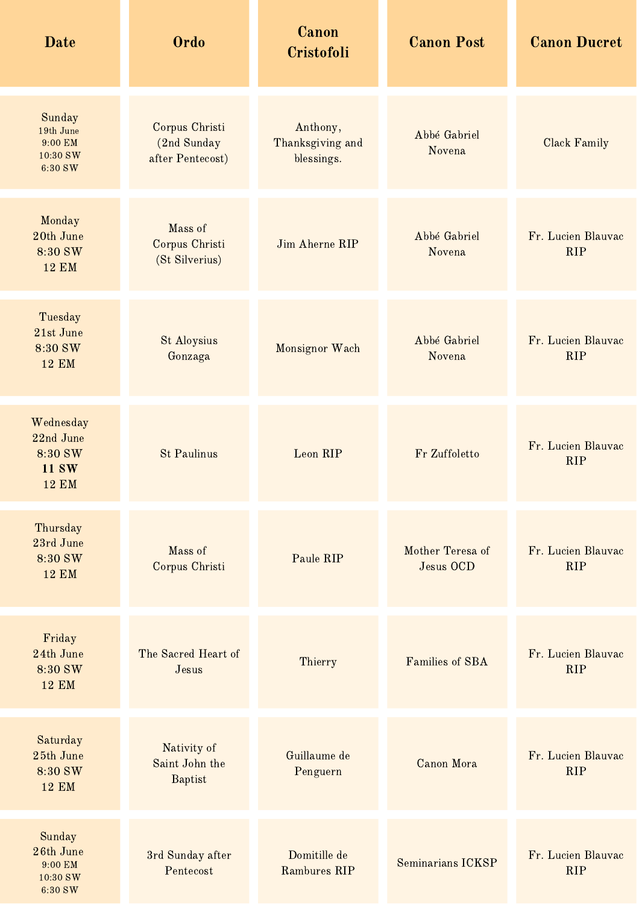| <b>Date</b>                                                       | Ordo                                              | Canon<br>Cristofoli                        | <b>Canon Post</b>                    | <b>Canon Ducret</b>              |
|-------------------------------------------------------------------|---------------------------------------------------|--------------------------------------------|--------------------------------------|----------------------------------|
| Sunday<br>19th June<br>9:00 EM<br>10:30 SW<br>6:30 SW             | Corpus Christi<br>(2nd Sunday<br>after Pentecost) | Anthony,<br>Thanksgiving and<br>blessings. | Abbé Gabriel<br>Novena               | Clack Family                     |
| Monday<br>20th June<br>8:30 SW<br><b>12 EM</b>                    | Mass of<br>Corpus Christi<br>(St Silverius)       | Jim Aherne RIP                             | Abbé Gabriel<br>Novena               | Fr. Lucien Blauvac<br><b>RIP</b> |
| Tuesday<br>21st June<br>8:30 SW<br><b>12 EM</b>                   | <b>St Aloysius</b><br>Gonzaga                     | Monsignor Wach                             | Abbé Gabriel<br>Novena               | Fr. Lucien Blauvac<br><b>RIP</b> |
| Wednesday<br>22nd June<br>8:30 SW<br><b>11 SW</b><br><b>12 EM</b> | <b>St Paulinus</b>                                | Leon RIP                                   | Fr Zuffoletto                        | Fr. Lucien Blauvac<br><b>RIP</b> |
| Thursday<br>23rd June<br>8:30 SW<br><b>12 EM</b>                  | Mass of<br>Corpus Christi                         | Paule RIP                                  | Mother Teresa of<br><b>Jesus OCD</b> | Fr. Lucien Blauvac<br><b>RIP</b> |
| Friday<br>24th June<br>8:30 SW<br><b>12 EM</b>                    | The Sacred Heart of<br>Jesus                      | Thierry                                    | Families of SBA                      | Fr. Lucien Blauvac<br><b>RIP</b> |
| Saturday<br>25th June<br>8:30 SW<br><b>12 EM</b>                  | Nativity of<br>Saint John the<br><b>Baptist</b>   | Guillaume de<br>Penguern                   | Canon Mora                           | Fr. Lucien Blauvac<br><b>RIP</b> |
| Sunday<br>26th June<br>9:00 EM<br>10:30 SW<br>6:30 SW             | 3rd Sunday after<br>Pentecost                     | Domitille de<br>Rambures RIP               | Seminarians ICKSP                    | Fr. Lucien Blauvac<br><b>RIP</b> |